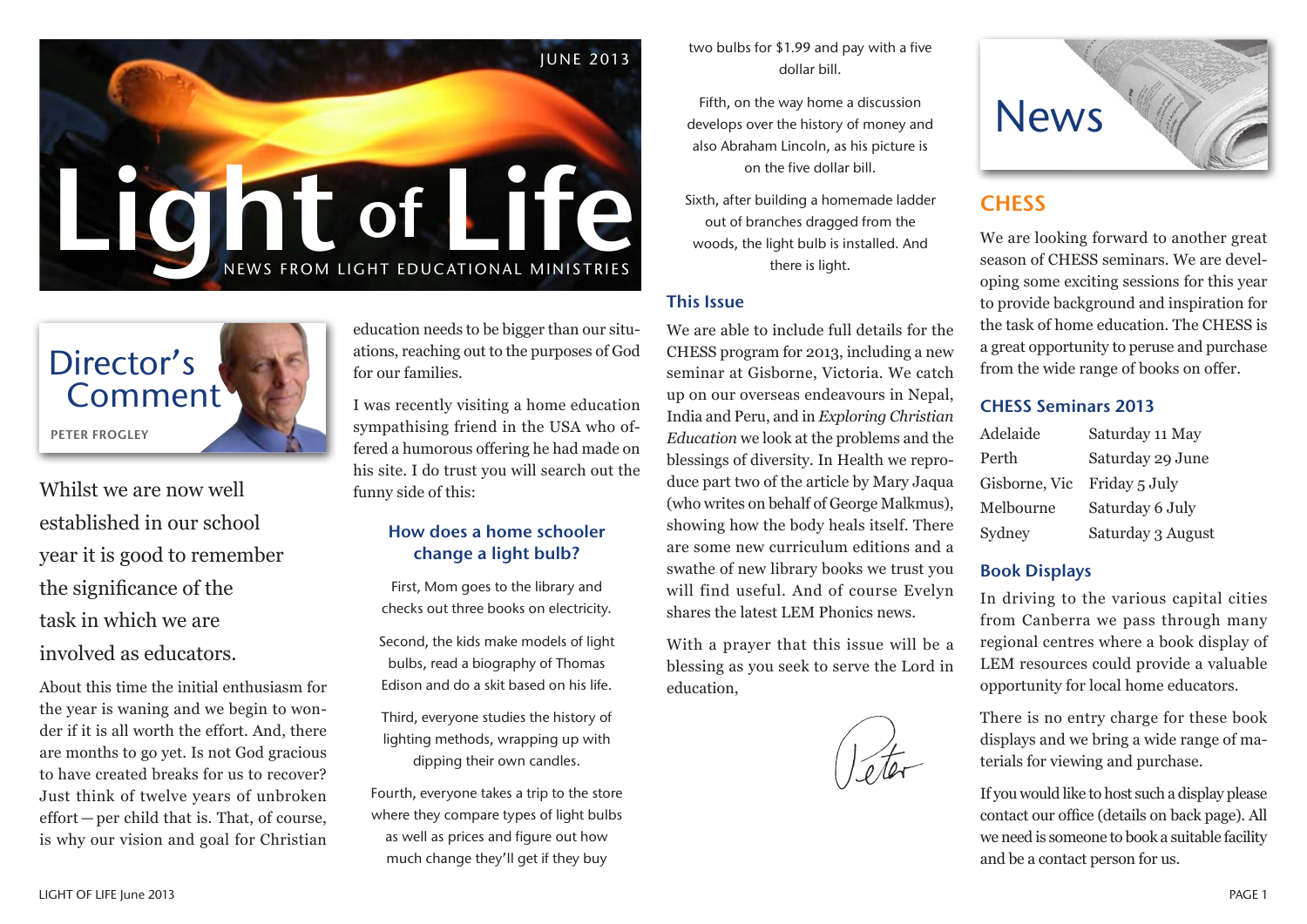



Whilst we are now well established in our school year it is good to remember the significance of the task in which we are involved as educators.

About this time the initial enthusiasm for the year is waning and we begin to wonder if it is all worth the effort. And, there are months to go yet. Is not God gracious to have created breaks for us to recover? Just think of twelve years of unbroken effort — per child that is. That, of course, is why our vision and goal for Christian education needs to be bigger than our situations, reaching out to the purposes of God for our families.

I was recently visiting a home education sympathising friend in the USA who offered a humorous offering he had made on his site. I do trust you will search out the funny side of this:

## How does a home schooler change a light bulb?

First, Mom goes to the library and checks out three books on electricity.

Second, the kids make models of light bulbs, read a biography of Thomas Edison and do a skit based on his life.

Third, everyone studies the history of lighting methods, wrapping up with dipping their own candles.

Fourth, everyone takes a trip to the store where they compare types of light bulbs as well as prices and figure out how much change they'll get if they buy

two bulbs for \$1.99 and pay with a five dollar bill.

Fifth, on the way home a discussion develops over the history of money and also Abraham Lincoln, as his picture is on the five dollar bill.

Sixth, after building a homemade ladder out of branches dragged from the woods, the light bulb is installed. And there is light.

### This Issue

We are able to include full details for the CHESS program for 2013, including a new seminar at Gisborne, Victoria. We catch up on our overseas endeavours in Nepal, India and Peru, and in *Exploring Christian Education* we look at the problems and the blessings of diversity. In Health we reproduce part two of the article by Mary Jaqua (who writes on behalf of George Malkmus), showing how the body heals itself. There are some new curriculum editions and a swathe of new library books we trust you will find useful. And of course Evelyn shares the latest LEM Phonics news.

With a prayer that this issue will be a blessing as you seek to serve the Lord in education,





# **CHESS**

We are looking forward to another great season of CHESS seminars. We are developing some exciting sessions for this year to provide background and inspiration for the task of home education. The CHESS is a great opportunity to peruse and purchase from the wide range of books on offer.

### CHESS Seminars 2013

| Adelaide      | Saturday 11 May   |
|---------------|-------------------|
| Perth         | Saturday 29 June  |
| Gisborne, Vic | Friday 5 July     |
| Melbourne     | Saturday 6 July   |
| Sydney        | Saturday 3 August |

### Book Displays

In driving to the various capital cities from Canberra we pass through many regional centres where a book display of LEM resources could provide a valuable opportunity for local home educators.

There is no entry charge for these book displays and we bring a wide range of materials for viewing and purchase.

If you would like to host such a display please contact our office (details on back page). All we need is someone to book a suitable facility and be a contact person for us.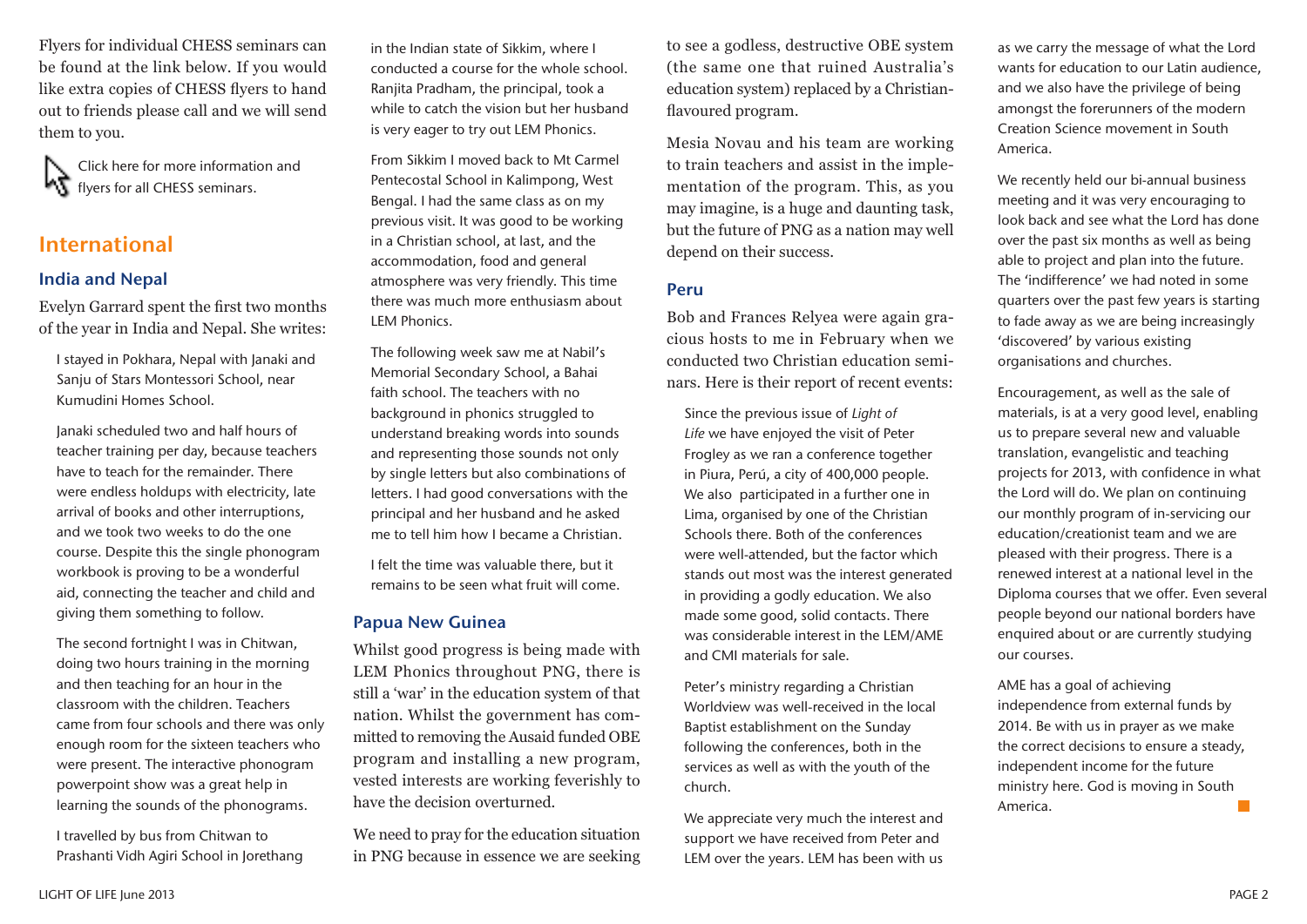Flyers for individual CHESS seminars can be found at the link below. If you would like extra copies of CHESS flyers to hand out to friends please call and we will send them to you.

Click here for more information and **K** flyers for all CHESS seminars.

# International

### India and Nepal

Evelyn Garrard spent the first two months of the year in India and Nepal. She writes:

I stayed in Pokhara, Nepal with Janaki and Sanju of Stars Montessori School, near Kumudini Homes School.

Janaki scheduled two and half hours of teacher training per day, because teachers have to teach for the remainder. There were endless holdups with electricity, late arrival of books and other interruptions, and we took two weeks to do the one course. Despite this the single phonogram workbook is proving to be a wonderful aid, connecting the teacher and child and giving them something to follow.

The second fortnight I was in Chitwan, doing two hours training in the morning and then teaching for an hour in the classroom with the children. Teachers came from four schools and there was only enough room for the sixteen teachers who were present. The interactive phonogram powerpoint show was a great help in learning the sounds of the phonograms.

I travelled by bus from Chitwan to Prashanti Vidh Agiri School in Jorethang in the Indian state of Sikkim, where I conducted a course for the whole school. Ranjita Pradham, the principal, took a while to catch the vision but her husband is very eager to try out LEM Phonics.

From Sikkim I moved back to Mt Carmel Pentecostal School in Kalimpong, West Bengal. I had the same class as on my previous visit. It was good to be working in a Christian school, at last, and the accommodation, food and general atmosphere was very friendly. This time there was much more enthusiasm about LEM Phonics.

The following week saw me at Nabil's Memorial Secondary School, a Bahai faith school. The teachers with no background in phonics struggled to understand breaking words into sounds and representing those sounds not only by single letters but also combinations of letters. I had good conversations with the principal and her husband and he asked me to tell him how I became a Christian.

I felt the time was valuable there, but it remains to be seen what fruit will come.

#### Papua New Guinea

Whilst good progress is being made with LEM Phonics throughout PNG, there is still a 'war' in the education system of that nation. Whilst the government has committed to removing the Ausaid funded OBE program and installing a new program, vested interests are working feverishly to have the decision overturned.

We need to pray for the education situation in PNG because in essence we are seeking

to see a godless, destructive OBE system (the same one that ruined Australia's education system) replaced by a Christianflavoured program.

Mesia Novau and his team are working to train teachers and assist in the implementation of the program. This, as you may imagine, is a huge and daunting task, but the future of PNG as a nation may well depend on their success.

### Peru

Bob and Frances Relyea were again gracious hosts to me in February when we conducted two Christian education seminars. Here is their report of recent events:

Since the previous issue of *Light of Life* we have enjoyed the visit of Peter Frogley as we ran a conference together in Piura, Perú, a city of 400,000 people. We also participated in a further one in Lima, organised by one of the Christian Schools there. Both of the conferences were well-attended, but the factor which stands out most was the interest generated in providing a godly education. We also made some good, solid contacts. There was considerable interest in the LEM/AME and CMI materials for sale.

Peter's ministry regarding a Christian Worldview was well-received in the local Baptist establishment on the Sunday following the conferences, both in the services as well as with the youth of the church.

We appreciate very much the interest and support we have received from Peter and LEM over the years. LEM has been with us as we carry the message of what the Lord wants for education to our Latin audience, and we also have the privilege of being amongst the forerunners of the modern Creation Science movement in South America.

We recently held our bi-annual business meeting and it was very encouraging to look back and see what the Lord has done over the past six months as well as being able to project and plan into the future. The 'indifference' we had noted in some quarters over the past few years is starting to fade away as we are being increasingly 'discovered' by various existing organisations and churches.

Encouragement, as well as the sale of materials, is at a very good level, enabling us to prepare several new and valuable translation, evangelistic and teaching projects for 2013, with confidence in what the Lord will do. We plan on continuing our monthly program of in-servicing our education/creationist team and we are pleased with their progress. There is a renewed interest at a national level in the Diploma courses that we offer. Even several people beyond our national borders have enquired about or are currently studying our courses.

AME has a goal of achieving independence from external funds by 2014. Be with us in prayer as we make the correct decisions to ensure a steady, independent income for the future ministry here. God is moving in South America.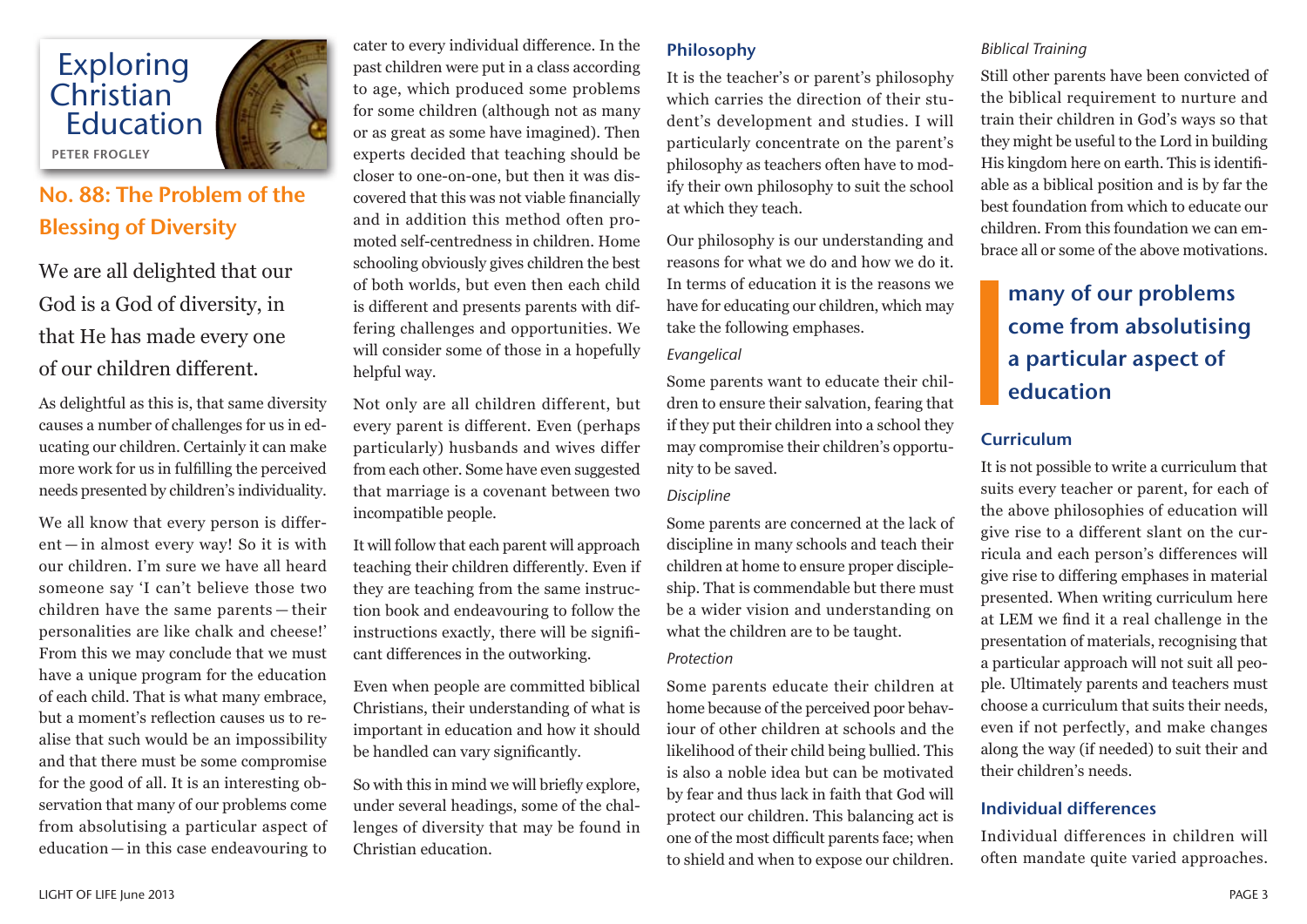

# No. 88: The Problem of the Blessing of Diversity

We are all delighted that our God is a God of diversity, in that He has made every one of our children different.

As delightful as this is, that same diversity causes a number of challenges for us in educating our children. Certainly it can make more work for us in fulfilling the perceived needs presented by children's individuality.

We all know that every person is different — in almost every way! So it is with our children. I'm sure we have all heard someone say 'I can't believe those two children have the same parents — their personalities are like chalk and cheese!' From this we may conclude that we must have a unique program for the education of each child. That is what many embrace, but a moment's reflection causes us to realise that such would be an impossibility and that there must be some compromise for the good of all. It is an interesting observation that many of our problems come from absolutising a particular aspect of education — in this case endeavouring to

cater to every individual difference. In the past children were put in a class according to age, which produced some problems for some children (although not as many or as great as some have imagined). Then experts decided that teaching should be closer to one-on-one, but then it was discovered that this was not viable financially and in addition this method often promoted self-centredness in children. Home schooling obviously gives children the best of both worlds, but even then each child is different and presents parents with differing challenges and opportunities. We will consider some of those in a hopefully helpful way.

Not only are all children different, but every parent is different. Even (perhaps particularly) husbands and wives differ from each other. Some have even suggested that marriage is a covenant between two incompatible people.

It will follow that each parent will approach teaching their children differently. Even if they are teaching from the same instruction book and endeavouring to follow the instructions exactly, there will be significant differences in the outworking.

Even when people are committed biblical Christians, their understanding of what is important in education and how it should be handled can vary significantly.

So with this in mind we will briefly explore, under several headings, some of the challenges of diversity that may be found in Christian education.

# Philosophy

It is the teacher's or parent's philosophy which carries the direction of their student's development and studies. I will particularly concentrate on the parent's philosophy as teachers often have to modify their own philosophy to suit the school at which they teach.

Our philosophy is our understanding and reasons for what we do and how we do it. In terms of education it is the reasons we have for educating our children, which may take the following emphases.

### *Evangelical*

Some parents want to educate their children to ensure their salvation, fearing that if they put their children into a school they may compromise their children's opportunity to be saved.

## *Discipline*

Some parents are concerned at the lack of discipline in many schools and teach their children at home to ensure proper discipleship. That is commendable but there must be a wider vision and understanding on what the children are to be taught.

### *Protection*

Some parents educate their children at home because of the perceived poor behaviour of other children at schools and the likelihood of their child being bullied. This is also a noble idea but can be motivated by fear and thus lack in faith that God will protect our children. This balancing act is one of the most difficult parents face; when to shield and when to expose our children.

## *Biblical Training*

Still other parents have been convicted of the biblical requirement to nurture and train their children in God's ways so that they might be useful to the Lord in building His kingdom here on earth. This is identifiable as a biblical position and is by far the best foundation from which to educate our children. From this foundation we can embrace all or some of the above motivations.

# many of our problems come from absolutising a particular aspect of education

# Curriculum

It is not possible to write a curriculum that suits every teacher or parent, for each of the above philosophies of education will give rise to a different slant on the curricula and each person's differences will give rise to differing emphases in material presented. When writing curriculum here at LEM we find it a real challenge in the presentation of materials, recognising that a particular approach will not suit all people. Ultimately parents and teachers must choose a curriculum that suits their needs, even if not perfectly, and make changes along the way (if needed) to suit their and their children's needs.

# Individual differences

Individual differences in children will often mandate quite varied approaches.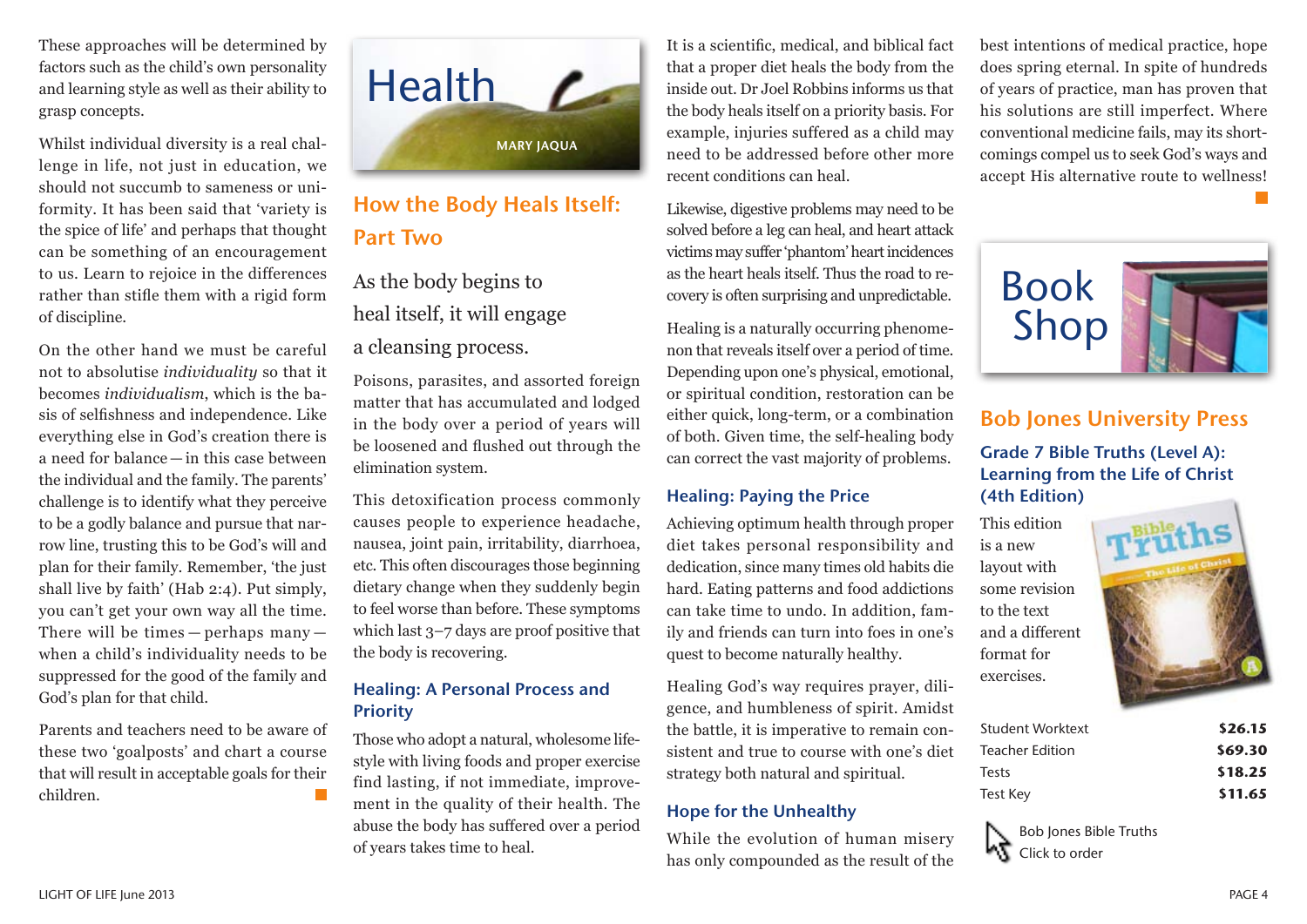These approaches will be determined by factors such as the child's own personality and learning style as well as their ability to grasp concepts.

Whilst individual diversity is a real challenge in life, not just in education, we should not succumb to sameness or uniformity. It has been said that 'variety is the spice of life' and perhaps that thought can be something of an encouragement to us. Learn to rejoice in the differences rather than stifle them with a rigid form of discipline.

On the other hand we must be careful not to absolutise *individuality* so that it becomes *individualism*, which is the basis of selfishness and independence. Like everything else in God's creation there is a need for balance — in this case between the individual and the family. The parents' challenge is to identify what they perceive to be a godly balance and pursue that narrow line, trusting this to be God's will and plan for their family. Remember, 'the just shall live by faith' (Hab 2:4). Put simply, you can't get your own way all the time. There will be times — perhaps many when a child's individuality needs to be suppressed for the good of the family and God's plan for that child.

Parents and teachers need to be aware of these two 'goalposts' and chart a course that will result in acceptable goals for their children.



# How the Body Heals Itself: Part Two

As the body begins to heal itself, it will engage a cleansing process.

Poisons, parasites, and assorted foreign matter that has accumulated and lodged in the body over a period of years will be loosened and flushed out through the elimination system.

This detoxification process commonly causes people to experience headache, nausea, joint pain, irritability, diarrhoea, etc. This often discourages those beginning dietary change when they suddenly begin to feel worse than before. These symptoms which last 3–7 days are proof positive that the body is recovering.

## Healing: A Personal Process and **Priority**

Those who adopt a natural, wholesome lifestyle with living foods and proper exercise find lasting, if not immediate, improvement in the quality of their health. The abuse the body has suffered over a period of years takes time to heal.

It is a scientific, medical, and biblical fact that a proper diet heals the body from the inside out. Dr Joel Robbins informs us that the body heals itself on a priority basis. For example, injuries suffered as a child may need to be addressed before other more recent conditions can heal.

Likewise, digestive problems may need to be solved before a leg can heal, and heart attack victims may suffer 'phantom' heart incidences as the heart heals itself. Thus the road to recovery is often surprising and unpredictable.

Healing is a naturally occurring phenomenon that reveals itself over a period of time. Depending upon one's physical, emotional, or spiritual condition, restoration can be either quick, long-term, or a combination of both. Given time, the self-healing body can correct the vast majority of problems.

### Healing: Paying the Price

Achieving optimum health through proper diet takes personal responsibility and dedication, since many times old habits die hard. Eating patterns and food addictions can take time to undo. In addition, family and friends can turn into foes in one's quest to become naturally healthy.

Healing God's way requires prayer, diligence, and humbleness of spirit. Amidst the battle, it is imperative to remain consistent and true to course with one's diet strategy both natural and spiritual.

### Hope for the Unhealthy

While the evolution of human misery has only compounded as the result of the best intentions of medical practice, hope does spring eternal. In spite of hundreds of years of practice, man has proven that his solutions are still imperfect. Where conventional medicine fails, may its shortcomings compel us to seek God's ways and accept His alternative route to wellness!



# Bob Jones University Press

# Grade 7 Bible Truths (Level A): Learning from the Life of Christ (4th Edition)

This edition is a new layout with some revision to the text and a different format for exercises.



| Student Worktext | \$26.15 |
|------------------|---------|
| Teacher Edition  | \$69.30 |
| <b>Tests</b>     | \$18.25 |
| Test Key         | \$11.65 |

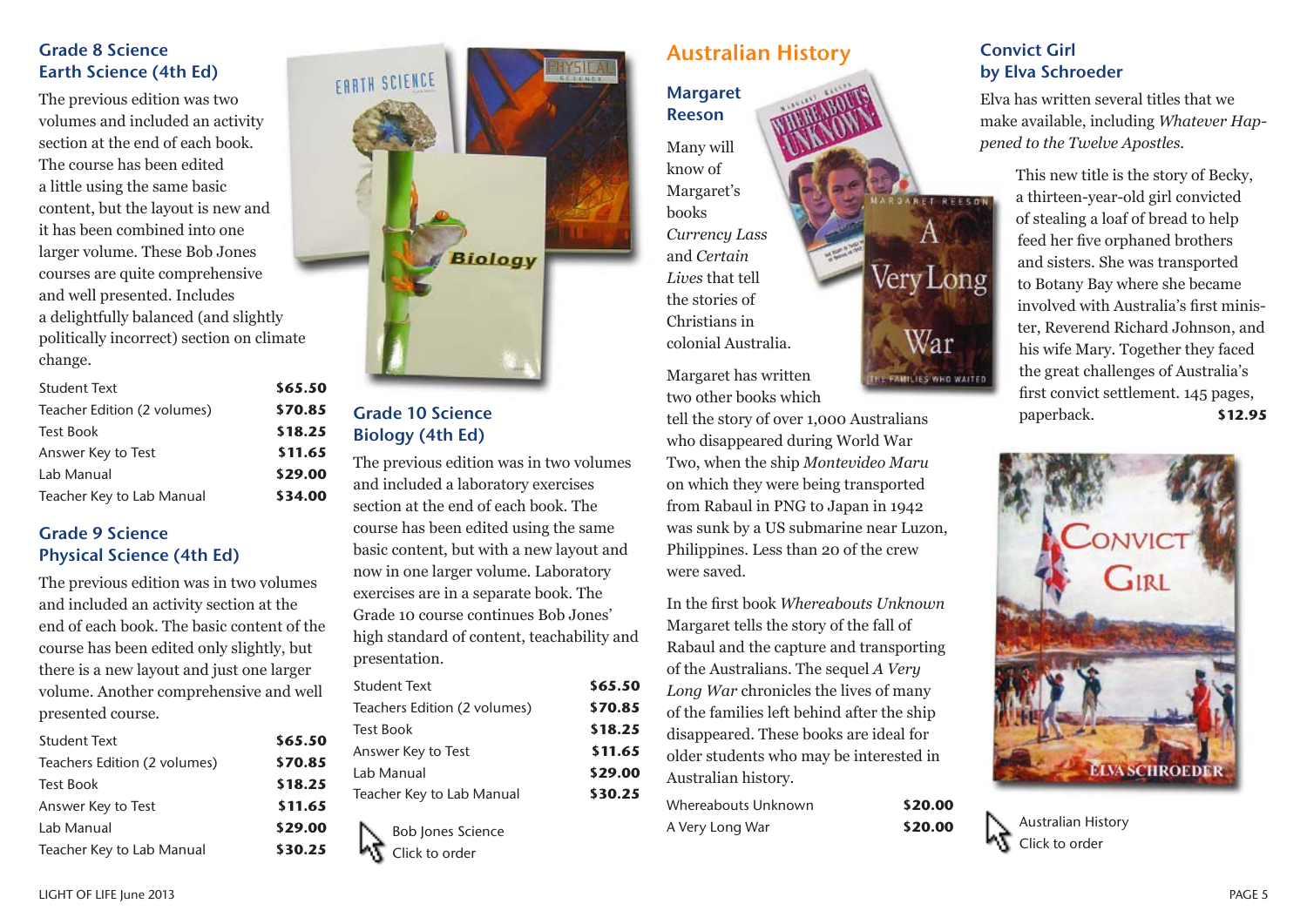## Grade 8 Science Earth Science (4th Ed)

The previous edition was two volumes and included an activity section at the end of each book. The course has been edited a little using the same basic content, but the layout is new and it has been combined into one larger volume. These Bob Jones courses are quite comprehensive and well presented. Includes a delightfully balanced (and slightly politically incorrect) section on climate change.

| \$65.50 |
|---------|
| \$70.85 |
| \$18.25 |
| \$11.65 |
| \$29.00 |
| \$34.00 |
|         |

# Grade 9 Science Physical Science (4th Ed)

The previous edition was in two volumes and included an activity section at the end of each book. The basic content of the course has been edited only slightly, but there is a new layout and just one larger volume. Another comprehensive and well presented course.

| <b>Student Text</b>          | \$65.50 |
|------------------------------|---------|
| Teachers Edition (2 volumes) | \$70.85 |
| <b>Test Book</b>             | \$18.25 |
| Answer Key to Test           | \$11.65 |
| Lab Manual                   | \$29.00 |
| Teacher Key to Lab Manual    | \$30.25 |



# Grade 10 Science Biology (4th Ed)

The previous edition was in two volumes and included a laboratory exercises section at the end of each book. The course has been edited using the same basic content, but with a new layout and now in one larger volume. Laboratory exercises are in a separate book. The Grade 10 course continues Bob Jones' high standard of content, teachability and presentation.

| Student Text                 | \$65.50 |
|------------------------------|---------|
| Teachers Edition (2 volumes) | \$70.85 |
| <b>Test Book</b>             | \$18.25 |
| Answer Key to Test           | \$11.65 |
| Lab Manual                   | \$29.00 |
| Teacher Key to Lab Manual    | \$30.25 |
|                              |         |



# Australian History

**Margaret** Reeson

Many will know of Margaret's books *Currency Lass*  and *Certain Lives* that tell the stories of Christians in colonial Australia.

Margaret has written two other books which

tell the story of over 1,000 Australians who disappeared during World War Two, when the ship *Montevideo Maru*  on which they were being transported from Rabaul in PNG to Japan in 1942 was sunk by a US submarine near Luzon, Philippines. Less than 20 of the crew were saved.

In the first book *Whereabouts Unknown*  Margaret tells the story of the fall of Rabaul and the capture and transporting of the Australians. The sequel *A Very Long War* chronicles the lives of many of the families left behind after the ship disappeared. These books are ideal for older students who may be interested in Australian history.

Whereabouts Unknown **\$20.00** A Very Long War **\$20.00**

# Convict Girl by Elva Schroeder

**RET REESON** 

Very Long

War

THE FAMILIES WHO WAITED

Elva has written several titles that we make available, including *Whatever Happened to the Twelve Apostles*.

> This new title is the story of Becky, a thirteen-year-old girl convicted of stealing a loaf of bread to help feed her five orphaned brothers and sisters. She was transported to Botany Bay where she became involved with Australia's first minister, Reverend Richard Johnson, and his wife Mary. Together they faced the great challenges of Australia's first convict settlement. 145 pages, paperback. **\$12.95**



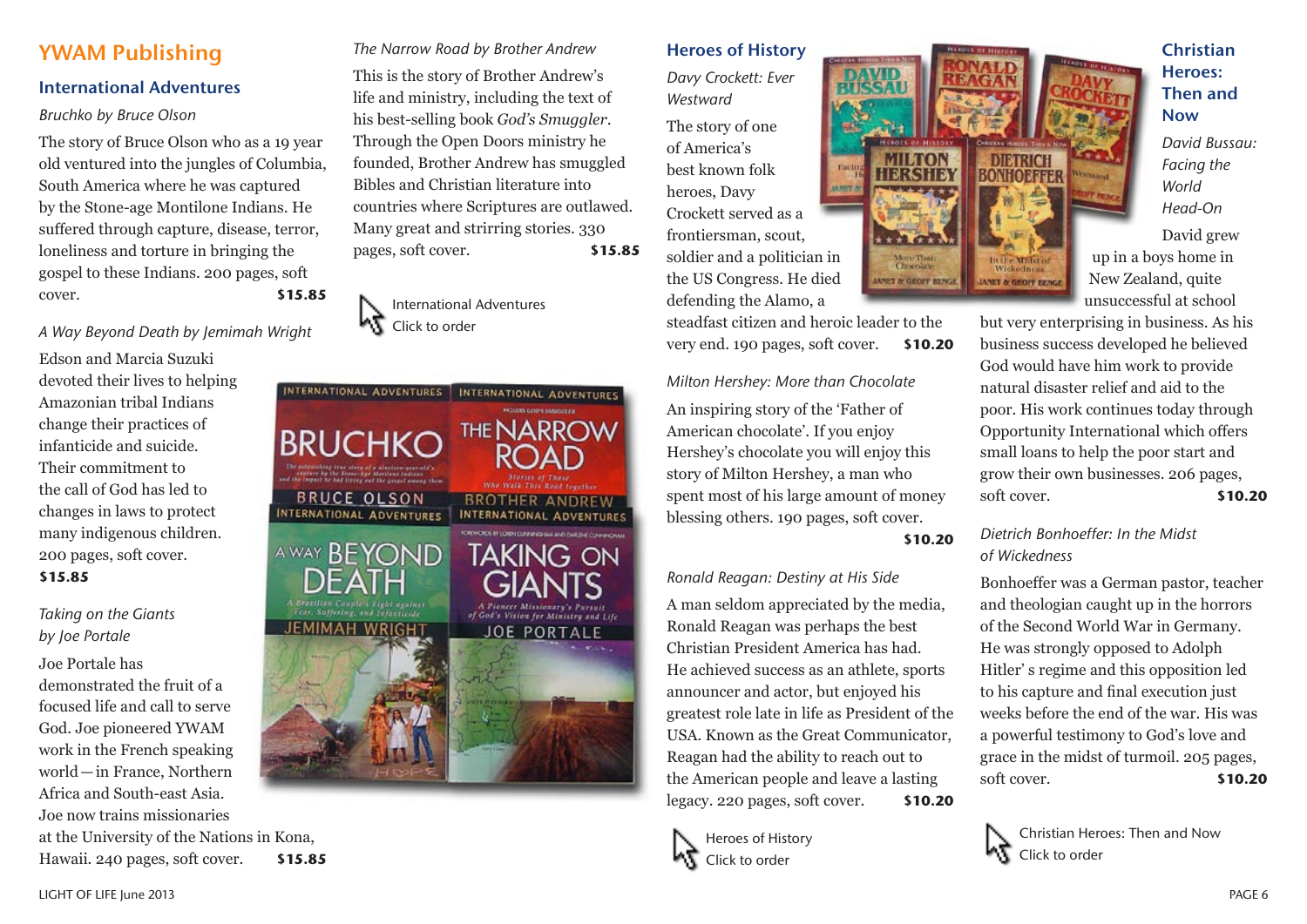# YWAM Publishing

## International Adventures

### *Bruchko by Bruce Olson*

The story of Bruce Olson who as a 19 year old ventured into the jungles of Columbia, South America where he was captured by the Stone-age Montilone Indians. He suffered through capture, disease, terror, loneliness and torture in bringing the gospel to these Indians. 200 pages, soft cover. **\$15.85**

*A Way Beyond Death by Jemimah Wright*

Edson and Marcia Suzuki devoted their lives to helping Amazonian tribal Indians change their practices of infanticide and suicide. Their commitment to the call of God has led to changes in laws to protect many indigenous children. 200 pages, soft cover. **\$15.85**

# *Taking on the Giants by Joe Portale*

### Joe Portale has

demonstrated the fruit of a focused life and call to serve God. Joe pioneered YWAM work in the French speaking world—in France, Northern Africa and South-east Asia. Joe now trains missionaries at the University of the Nations in Kona, Hawaii. 240 pages, soft cover. **\$15.85** *The Narrow Road by Brother Andrew*

This is the story of Brother Andrew's life and ministry, including the text of his best-selling book *God's Smuggler*. Through the Open Doors ministry he founded, Brother Andrew has smuggled Bibles and Christian literature into countries where Scriptures are outlawed. Many great and strirring stories. 330 pages, soft cover. **\$15.85**





Heroes of History

*Davy Crockett: Ever Westward*

The story of one of America's best known folk heroes, Davy Crockett served as a frontiersman, scout, soldier and a politician in the US Congress. He died defending the Alamo, a

steadfast citizen and heroic leader to the very end. 190 pages, soft cover. **\$10.20**

# *Milton Hershey: More than Chocolate* An inspiring story of the 'Father of American chocolate'. If you enjoy Hershey's chocolate you will enjoy this story of Milton Hershey, a man who spent most of his large amount of money blessing others. 190 pages, soft cover.

### **\$10.20**

### *Ronald Reagan: Destiny at His Side*

A man seldom appreciated by the media, Ronald Reagan was perhaps the best Christian President America has had. He achieved success as an athlete, sports announcer and actor, but enjoyed his greatest role late in life as President of the USA. Known as the Great Communicator, Reagan had the ability to reach out to the American people and leave a lasting legacy. 220 pages, soft cover. **\$10.20**



**MILTON TERSITA BONHOEFFER** More Than<br>Chocolaire In the Midstar *UNET & GEOFF RENCE* **JANET & GEOFF BENGE**  **Christian** Heroes: Then and Now

*David Bussau: Facing the World Head-On*

David grew up in a boys home in New Zealand, quite unsuccessful at school

but very enterprising in business. As his business success developed he believed God would have him work to provide natural disaster relief and aid to the poor. His work continues today through Opportunity International which offers small loans to help the poor start and grow their own businesses. 206 pages, soft cover. **\$10.20**

## *Dietrich Bonhoeffer: In the Midst of Wickedness*

Bonhoeffer was a German pastor, teacher and theologian caught up in the horrors of the Second World War in Germany. He was strongly opposed to Adolph Hitler' s regime and this opposition led to his capture and final execution just weeks before the end of the war. His was a powerful testimony to God's love and grace in the midst of turmoil. 205 pages, soft cover. **\$10.20**